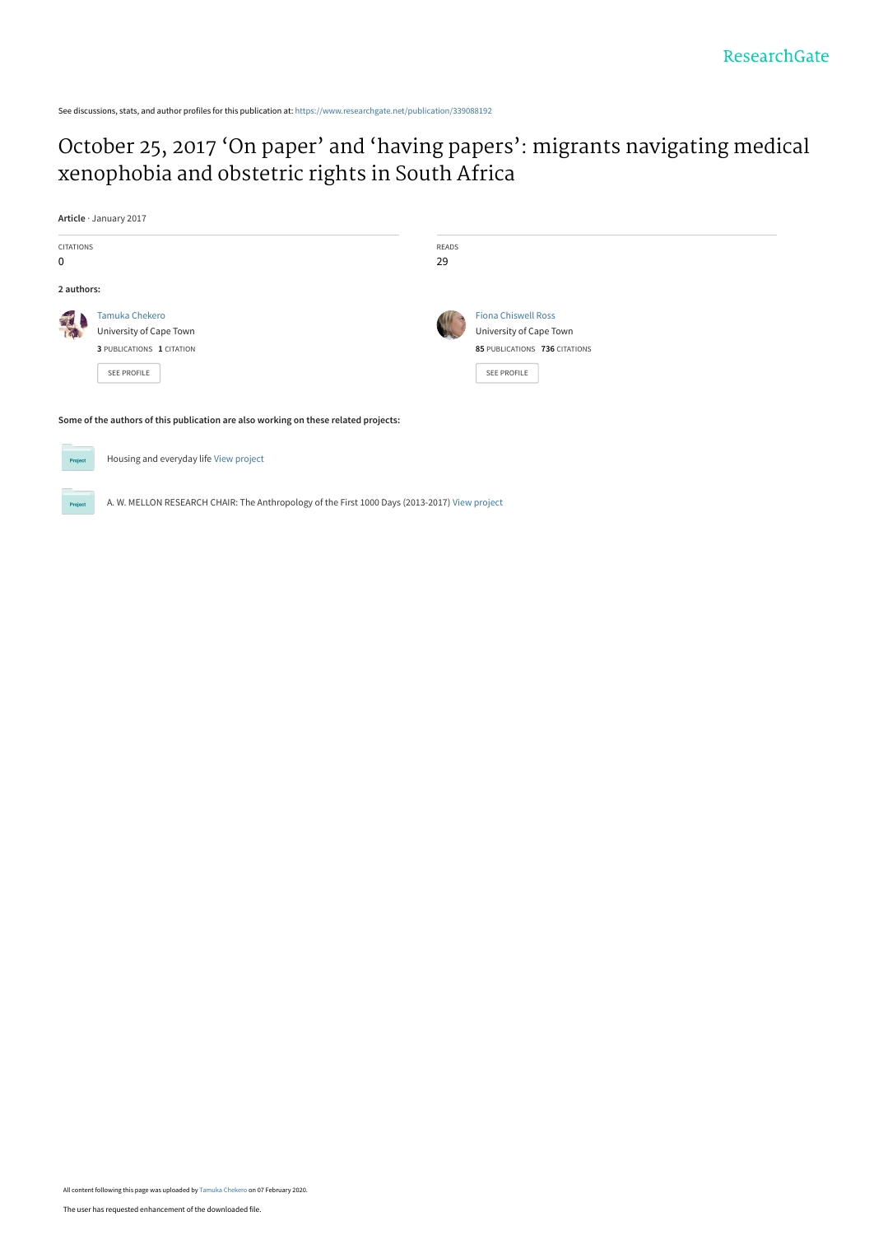See discussions, stats, and author profiles for this publication at: [https://www.researchgate.net/publication/339088192](https://www.researchgate.net/publication/339088192_October_25_2017_%27On_paper%27_and_%27having_papers%27_migrants_navigating_medical_xenophobia_and_obstetric_rights_in_South_Africa?enrichId=rgreq-12057612403eaf82985abac08a7c26f2-XXX&enrichSource=Y292ZXJQYWdlOzMzOTA4ODE5MjtBUzo4NTU3NTQwODQ5NzQ1OTRAMTU4MTAzOTA4MTc4Ng%3D%3D&el=1_x_2&_esc=publicationCoverPdf)

# [October 25, 2017 'On paper' and 'having papers': migrants navigating medical](https://www.researchgate.net/publication/339088192_October_25_2017_%27On_paper%27_and_%27having_papers%27_migrants_navigating_medical_xenophobia_and_obstetric_rights_in_South_Africa?enrichId=rgreq-12057612403eaf82985abac08a7c26f2-XXX&enrichSource=Y292ZXJQYWdlOzMzOTA4ODE5MjtBUzo4NTU3NTQwODQ5NzQ1OTRAMTU4MTAzOTA4MTc4Ng%3D%3D&el=1_x_3&_esc=publicationCoverPdf) xenophobia and obstetric rights in South Africa

**Article** · January 2017 CITATIONS READS 29 0 **2 authors:** [Tamuka Chekero](https://www.researchgate.net/profile/Tamuka_Chekero?enrichId=rgreq-12057612403eaf82985abac08a7c26f2-XXX&enrichSource=Y292ZXJQYWdlOzMzOTA4ODE5MjtBUzo4NTU3NTQwODQ5NzQ1OTRAMTU4MTAzOTA4MTc4Ng%3D%3D&el=1_x_5&_esc=publicationCoverPdf) [Fiona Chiswell Ross](https://www.researchgate.net/profile/Fiona_Ross2?enrichId=rgreq-12057612403eaf82985abac08a7c26f2-XXX&enrichSource=Y292ZXJQYWdlOzMzOTA4ODE5MjtBUzo4NTU3NTQwODQ5NzQ1OTRAMTU4MTAzOTA4MTc4Ng%3D%3D&el=1_x_5&_esc=publicationCoverPdf) T [University of Cape Town](https://www.researchgate.net/institution/University-of-Cape-Town?enrichId=rgreq-12057612403eaf82985abac08a7c26f2-XXX&enrichSource=Y292ZXJQYWdlOzMzOTA4ODE5MjtBUzo4NTU3NTQwODQ5NzQ1OTRAMTU4MTAzOTA4MTc4Ng%3D%3D&el=1_x_6&_esc=publicationCoverPdf) [University of Cape Town](https://www.researchgate.net/institution/University-of-Cape-Town?enrichId=rgreq-12057612403eaf82985abac08a7c26f2-XXX&enrichSource=Y292ZXJQYWdlOzMzOTA4ODE5MjtBUzo4NTU3NTQwODQ5NzQ1OTRAMTU4MTAzOTA4MTc4Ng%3D%3D&el=1_x_6&_esc=publicationCoverPdf) **3** PUBLICATIONS **1** CITATION **85** PUBLICATIONS **736** CITATIONS [SEE PROFILE](https://www.researchgate.net/profile/Tamuka_Chekero?enrichId=rgreq-12057612403eaf82985abac08a7c26f2-XXX&enrichSource=Y292ZXJQYWdlOzMzOTA4ODE5MjtBUzo4NTU3NTQwODQ5NzQ1OTRAMTU4MTAzOTA4MTc4Ng%3D%3D&el=1_x_7&_esc=publicationCoverPdf) [SEE PROFILE](https://www.researchgate.net/profile/Fiona_Ross2?enrichId=rgreq-12057612403eaf82985abac08a7c26f2-XXX&enrichSource=Y292ZXJQYWdlOzMzOTA4ODE5MjtBUzo4NTU3NTQwODQ5NzQ1OTRAMTU4MTAzOTA4MTc4Ng%3D%3D&el=1_x_7&_esc=publicationCoverPdf) **Some of the authors of this publication are also working on these related projects:**

Housing and everyday life [View project](https://www.researchgate.net/project/Housing-and-everyday-life?enrichId=rgreq-12057612403eaf82985abac08a7c26f2-XXX&enrichSource=Y292ZXJQYWdlOzMzOTA4ODE5MjtBUzo4NTU3NTQwODQ5NzQ1OTRAMTU4MTAzOTA4MTc4Ng%3D%3D&el=1_x_9&_esc=publicationCoverPdf) Proj

A. W. MELLON RESEARCH CHAIR: The Anthropology of the First 1000 Days (2013-2017) [View project](https://www.researchgate.net/project/A-W-MELLON-RESEARCH-CHAIR-The-Anthropology-of-the-First-1000-Days-2013-2017?enrichId=rgreq-12057612403eaf82985abac08a7c26f2-XXX&enrichSource=Y292ZXJQYWdlOzMzOTA4ODE5MjtBUzo4NTU3NTQwODQ5NzQ1OTRAMTU4MTAzOTA4MTc4Ng%3D%3D&el=1_x_9&_esc=publicationCoverPdf)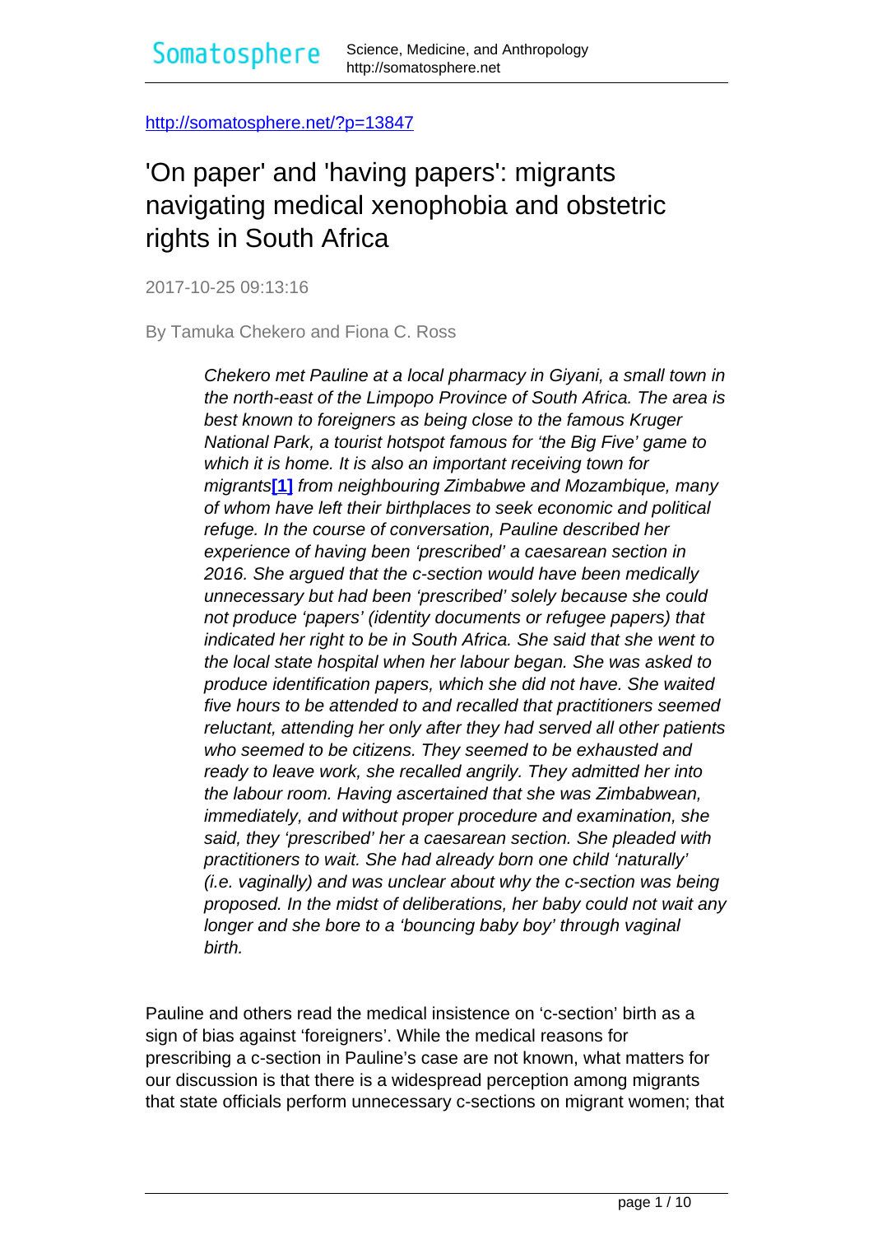<span id="page-1-0"></span><http://somatosphere.net/?p=13847>

# 'On paper' and 'having papers': migrants navigating medical xenophobia and obstetric rights in South Africa

2017-10-25 09:13:16

By Tamuka Chekero and Fiona C. Ross

Chekero met Pauline at a local pharmacy in Giyani, a small town in the north-east of the Limpopo Province of South Africa. The area is best known to foreigners as being close to the famous Kruger National Park, a tourist hotspot famous for 'the Big Five' game to which it is home. It is also an important receiving town for migrants**[\[1\]](#page-1-0)** from neighbouring Zimbabwe and Mozambique, many of whom have left their birthplaces to seek economic and political refuge. In the course of conversation, Pauline described her experience of having been 'prescribed' a caesarean section in 2016. She argued that the c-section would have been medically unnecessary but had been 'prescribed' solely because she could not produce 'papers' (identity documents or refugee papers) that indicated her right to be in South Africa. She said that she went to the local state hospital when her labour began. She was asked to produce identification papers, which she did not have. She waited five hours to be attended to and recalled that practitioners seemed reluctant, attending her only after they had served all other patients who seemed to be citizens. They seemed to be exhausted and ready to leave work, she recalled angrily. They admitted her into the labour room. Having ascertained that she was Zimbabwean, immediately, and without proper procedure and examination, she said, they 'prescribed' her a caesarean section. She pleaded with practitioners to wait. She had already born one child 'naturally' (i.e. vaginally) and was unclear about why the c-section was being proposed. In the midst of deliberations, her baby could not wait any longer and she bore to a 'bouncing baby boy' through vaginal birth.

Pauline and others read the medical insistence on 'c-section' birth as a sign of bias against 'foreigners'. While the medical reasons for prescribing a c-section in Pauline's case are not known, what matters for our discussion is that there is a widespread perception among migrants that state officials perform unnecessary c-sections on migrant women; that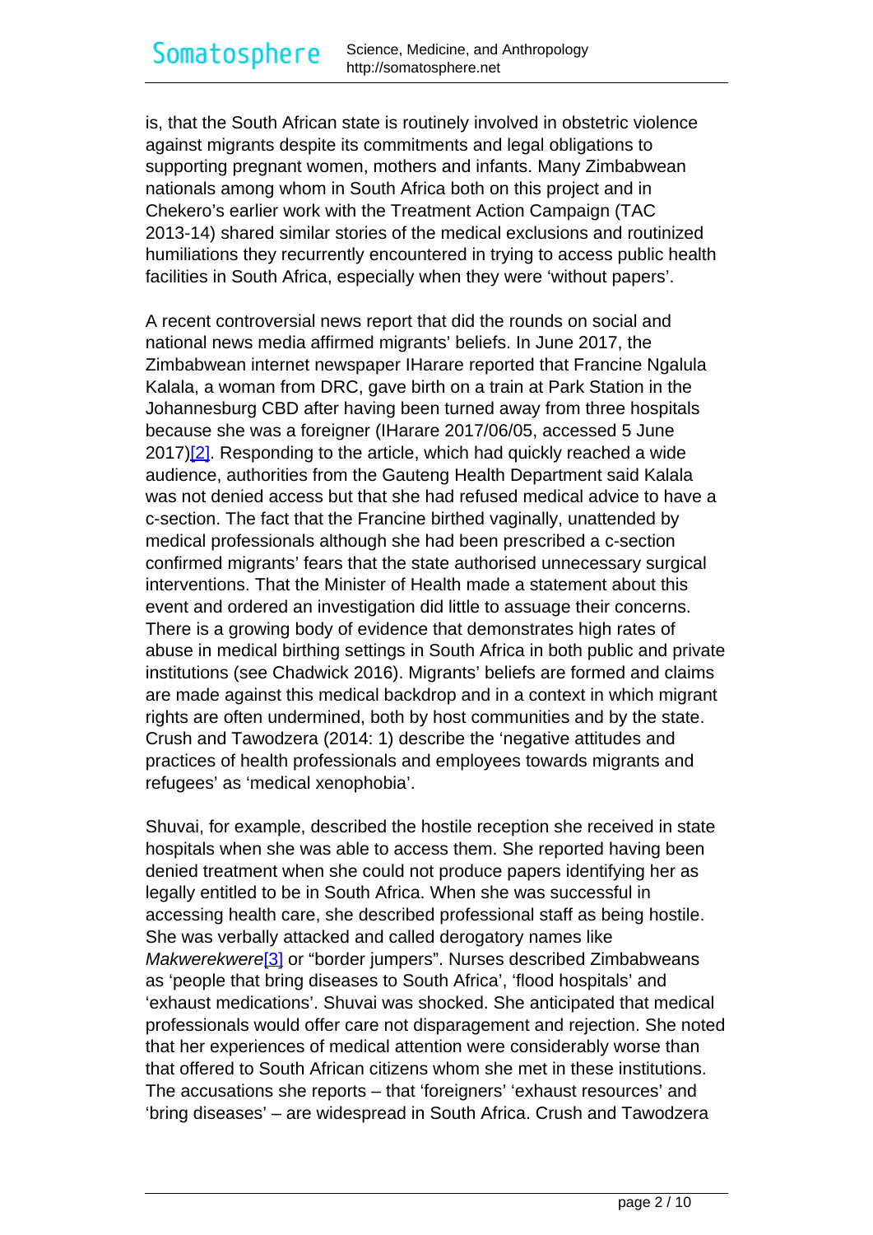<span id="page-2-0"></span>is, that the South African state is routinely involved in obstetric violence against migrants despite its commitments and legal obligations to supporting pregnant women, mothers and infants. Many Zimbabwean nationals among whom in South Africa both on this project and in Chekero's earlier work with the Treatment Action Campaign (TAC 2013-14) shared similar stories of the medical exclusions and routinized humiliations they recurrently encountered in trying to access public health facilities in South Africa, especially when they were 'without papers'.

A recent controversial news report that did the rounds on social and national news media affirmed migrants' beliefs. In June 2017, the Zimbabwean internet newspaper IHarare reported that Francine Ngalula Kalala, a woman from DRC, gave birth on a train at Park Station in the Johannesburg CBD after having been turned away from three hospitals because she was a foreigner (IHarare 2017/06/05, accessed 5 June  $2017$ [ $2$ ]. Responding to the article, which had quickly reached a wide audience, authorities from the Gauteng Health Department said Kalala was not denied access but that she had refused medical advice to have a c-section. The fact that the Francine birthed vaginally, unattended by medical professionals although she had been prescribed a c-section confirmed migrants' fears that the state authorised unnecessary surgical interventions. That the Minister of Health made a statement about this event and ordered an investigation did little to assuage their concerns. There is a growing body of evidence that demonstrates high rates of abuse in medical birthing settings in South Africa in both public and private institutions (see Chadwick 2016). Migrants' beliefs are formed and claims are made against this medical backdrop and in a context in which migrant rights are often undermined, both by host communities and by the state. Crush and Tawodzera (2014: 1) describe the 'negative attitudes and practices of health professionals and employees towards migrants and refugees' as 'medical xenophobia'.

Shuvai, for example, described the hostile reception she received in state hospitals when she was able to access them. She reported having been denied treatment when she could not produce papers identifying her as legally entitled to be in South Africa. When she was successful in accessing health care, she described professional staff as being hostile. She was verbally attacked and called derogatory names like Makwerekwere<sup>[\[3\]](#page-2-0)</sup> or "border jumpers". Nurses described Zimbabweans as 'people that bring diseases to South Africa', 'flood hospitals' and 'exhaust medications'. Shuvai was shocked. She anticipated that medical professionals would offer care not disparagement and rejection. She noted that her experiences of medical attention were considerably worse than that offered to South African citizens whom she met in these institutions. The accusations she reports – that 'foreigners' 'exhaust resources' and 'bring diseases' – are widespread in South Africa. Crush and Tawodzera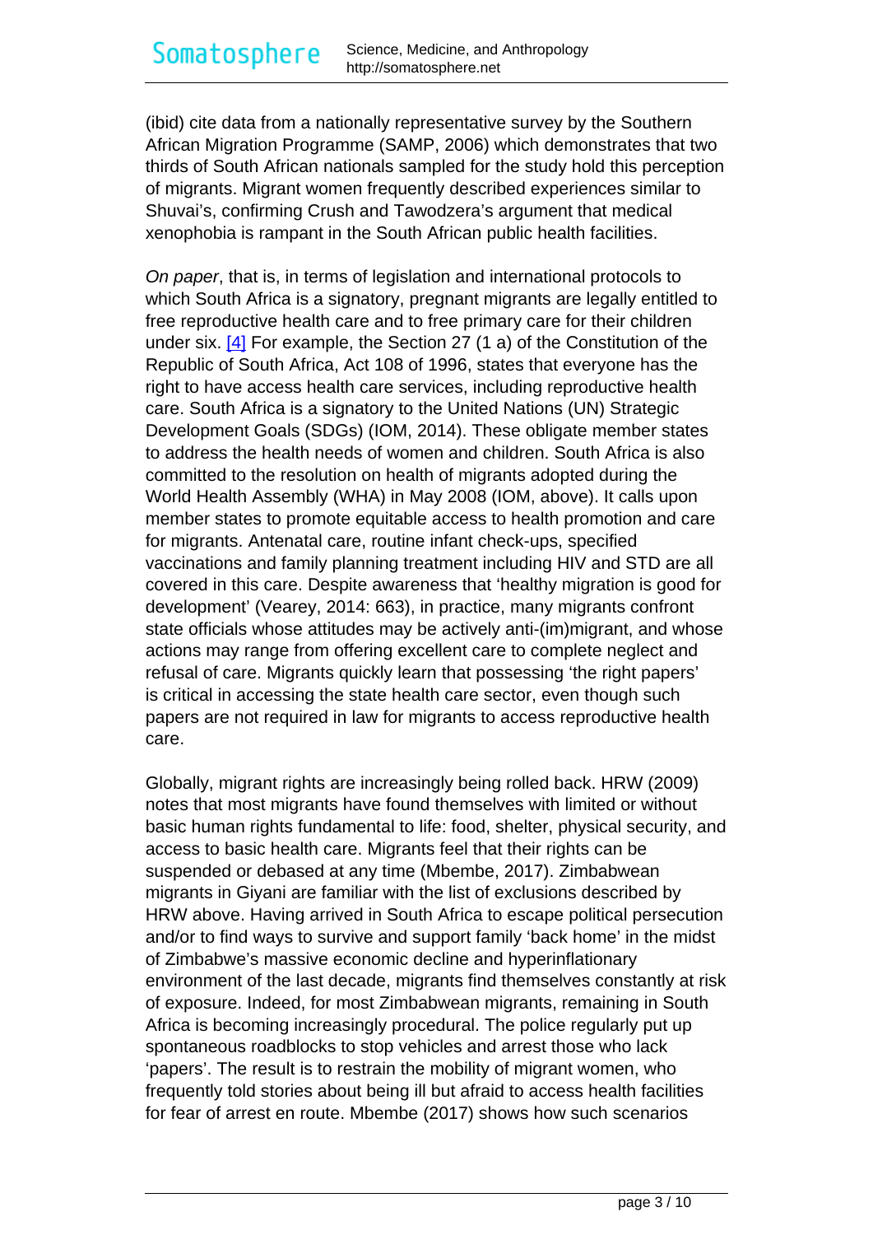<span id="page-3-0"></span>(ibid) cite data from a nationally representative survey by the Southern African Migration Programme (SAMP, 2006) which demonstrates that two thirds of South African nationals sampled for the study hold this perception of migrants. Migrant women frequently described experiences similar to Shuvai's, confirming Crush and Tawodzera's argument that medical xenophobia is rampant in the South African public health facilities.

On paper, that is, in terms of legislation and international protocols to which South Africa is a signatory, pregnant migrants are legally entitled to free reproductive health care and to free primary care for their children under six.  $[4]$  For example, the Section 27 (1 a) of the Constitution of the Republic of South Africa, Act 108 of 1996, states that everyone has the right to have access health care services, including reproductive health care. South Africa is a signatory to the United Nations (UN) Strategic Development Goals (SDGs) (IOM, 2014). These obligate member states to address the health needs of women and children. South Africa is also committed to the resolution on health of migrants adopted during the World Health Assembly (WHA) in May 2008 (IOM, above). It calls upon member states to promote equitable access to health promotion and care for migrants. Antenatal care, routine infant check-ups, specified vaccinations and family planning treatment including HIV and STD are all covered in this care. Despite awareness that 'healthy migration is good for development' (Vearey, 2014: 663), in practice, many migrants confront state officials whose attitudes may be actively anti-(im)migrant, and whose actions may range from offering excellent care to complete neglect and refusal of care. Migrants quickly learn that possessing 'the right papers' is critical in accessing the state health care sector, even though such papers are not required in law for migrants to access reproductive health care.

Globally, migrant rights are increasingly being rolled back. HRW (2009) notes that most migrants have found themselves with limited or without basic human rights fundamental to life: food, shelter, physical security, and access to basic health care. Migrants feel that their rights can be suspended or debased at any time (Mbembe, 2017). Zimbabwean migrants in Giyani are familiar with the list of exclusions described by HRW above. Having arrived in South Africa to escape political persecution and/or to find ways to survive and support family 'back home' in the midst of Zimbabwe's massive economic decline and hyperinflationary environment of the last decade, migrants find themselves constantly at risk of exposure. Indeed, for most Zimbabwean migrants, remaining in South Africa is becoming increasingly procedural. The police regularly put up spontaneous roadblocks to stop vehicles and arrest those who lack 'papers'. The result is to restrain the mobility of migrant women, who frequently told stories about being ill but afraid to access health facilities for fear of arrest en route. Mbembe (2017) shows how such scenarios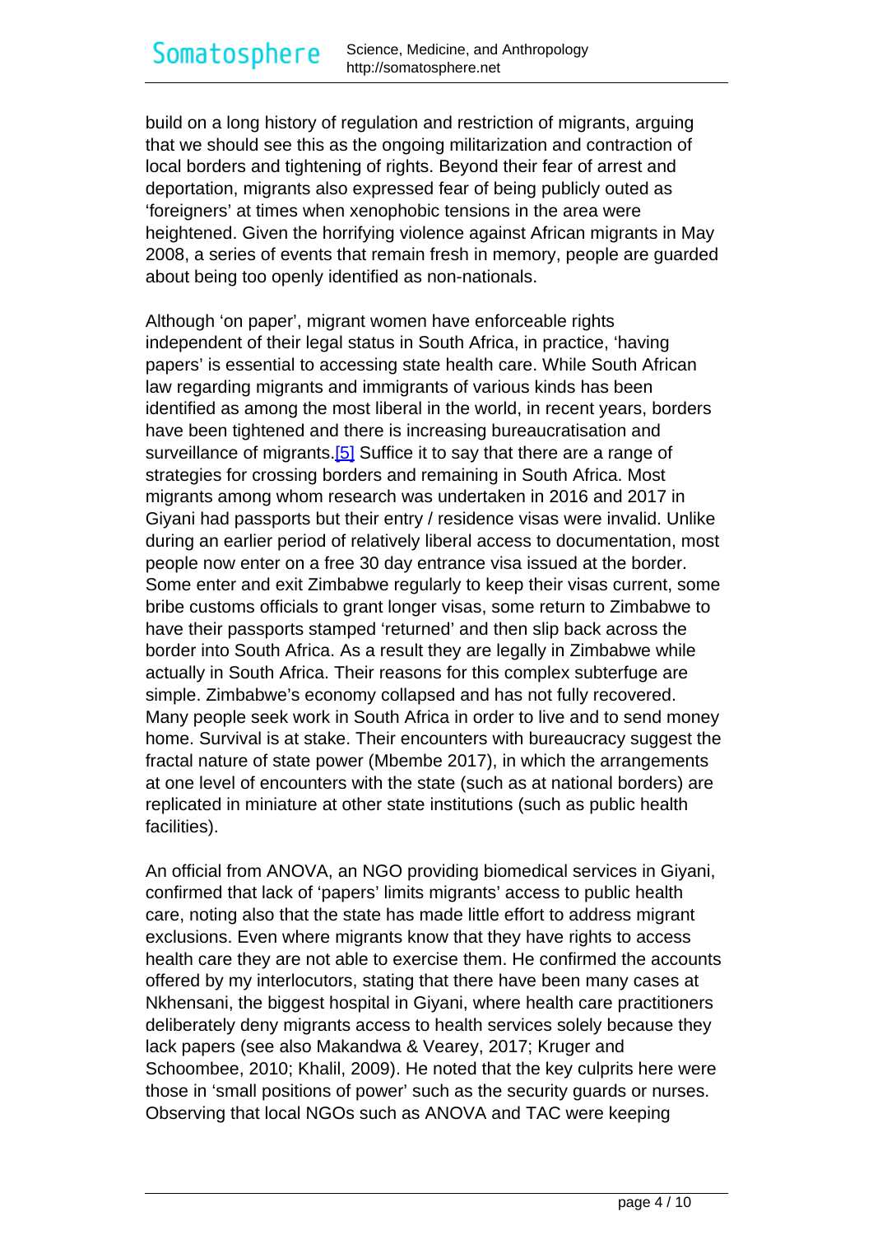<span id="page-4-0"></span>build on a long history of regulation and restriction of migrants, arguing that we should see this as the ongoing militarization and contraction of local borders and tightening of rights. Beyond their fear of arrest and deportation, migrants also expressed fear of being publicly outed as 'foreigners' at times when xenophobic tensions in the area were heightened. Given the horrifying violence against African migrants in May 2008, a series of events that remain fresh in memory, people are guarded about being too openly identified as non-nationals.

Although 'on paper', migrant women have enforceable rights independent of their legal status in South Africa, in practice, 'having papers' is essential to accessing state health care. While South African law regarding migrants and immigrants of various kinds has been identified as among the most liberal in the world, in recent years, borders have been tightened and there is increasing bureaucratisation and surveillance of migrants.<sup>[5]</sup> Suffice it to say that there are a range of strategies for crossing borders and remaining in South Africa. Most migrants among whom research was undertaken in 2016 and 2017 in Giyani had passports but their entry / residence visas were invalid. Unlike during an earlier period of relatively liberal access to documentation, most people now enter on a free 30 day entrance visa issued at the border. Some enter and exit Zimbabwe regularly to keep their visas current, some bribe customs officials to grant longer visas, some return to Zimbabwe to have their passports stamped 'returned' and then slip back across the border into South Africa. As a result they are legally in Zimbabwe while actually in South Africa. Their reasons for this complex subterfuge are simple. Zimbabwe's economy collapsed and has not fully recovered. Many people seek work in South Africa in order to live and to send money home. Survival is at stake. Their encounters with bureaucracy suggest the fractal nature of state power (Mbembe 2017), in which the arrangements at one level of encounters with the state (such as at national borders) are replicated in miniature at other state institutions (such as public health facilities).

An official from ANOVA, an NGO providing biomedical services in Giyani, confirmed that lack of 'papers' limits migrants' access to public health care, noting also that the state has made little effort to address migrant exclusions. Even where migrants know that they have rights to access health care they are not able to exercise them. He confirmed the accounts offered by my interlocutors, stating that there have been many cases at Nkhensani, the biggest hospital in Giyani, where health care practitioners deliberately deny migrants access to health services solely because they lack papers (see also Makandwa & Vearey, 2017; Kruger and Schoombee, 2010; Khalil, 2009). He noted that the key culprits here were those in 'small positions of power' such as the security guards or nurses. Observing that local NGOs such as ANOVA and TAC were keeping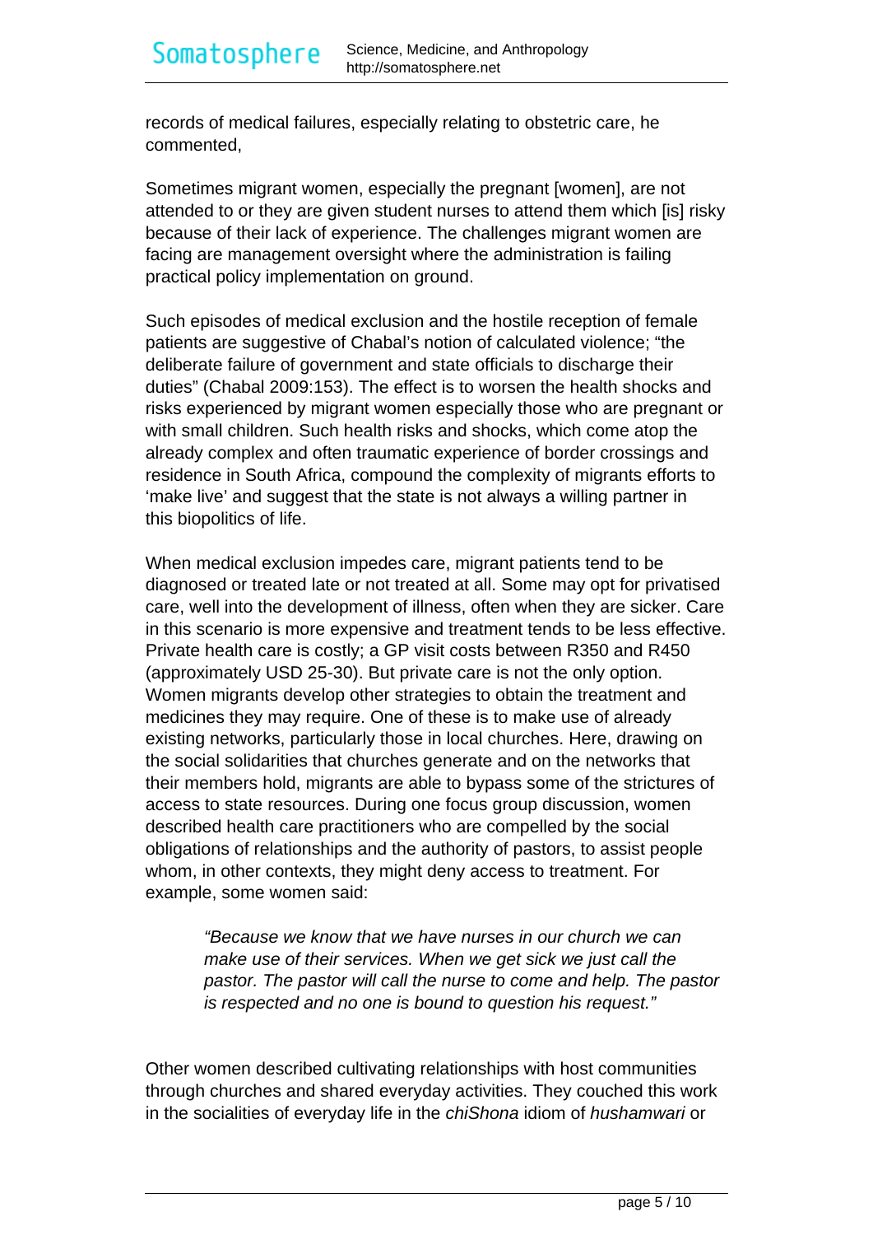records of medical failures, especially relating to obstetric care, he commented,

Sometimes migrant women, especially the pregnant [women], are not attended to or they are given student nurses to attend them which [is] risky because of their lack of experience. The challenges migrant women are facing are management oversight where the administration is failing practical policy implementation on ground.

Such episodes of medical exclusion and the hostile reception of female patients are suggestive of Chabal's notion of calculated violence; "the deliberate failure of government and state officials to discharge their duties" (Chabal 2009:153). The effect is to worsen the health shocks and risks experienced by migrant women especially those who are pregnant or with small children. Such health risks and shocks, which come atop the already complex and often traumatic experience of border crossings and residence in South Africa, compound the complexity of migrants efforts to 'make live' and suggest that the state is not always a willing partner in this biopolitics of life.

When medical exclusion impedes care, migrant patients tend to be diagnosed or treated late or not treated at all. Some may opt for privatised care, well into the development of illness, often when they are sicker. Care in this scenario is more expensive and treatment tends to be less effective. Private health care is costly; a GP visit costs between R350 and R450 (approximately USD 25-30). But private care is not the only option. Women migrants develop other strategies to obtain the treatment and medicines they may require. One of these is to make use of already existing networks, particularly those in local churches. Here, drawing on the social solidarities that churches generate and on the networks that their members hold, migrants are able to bypass some of the strictures of access to state resources. During one focus group discussion, women described health care practitioners who are compelled by the social obligations of relationships and the authority of pastors, to assist people whom, in other contexts, they might deny access to treatment. For example, some women said:

"Because we know that we have nurses in our church we can make use of their services. When we get sick we just call the pastor. The pastor will call the nurse to come and help. The pastor is respected and no one is bound to question his request."

Other women described cultivating relationships with host communities through churches and shared everyday activities. They couched this work in the socialities of everyday life in the chiShona idiom of hushamwari or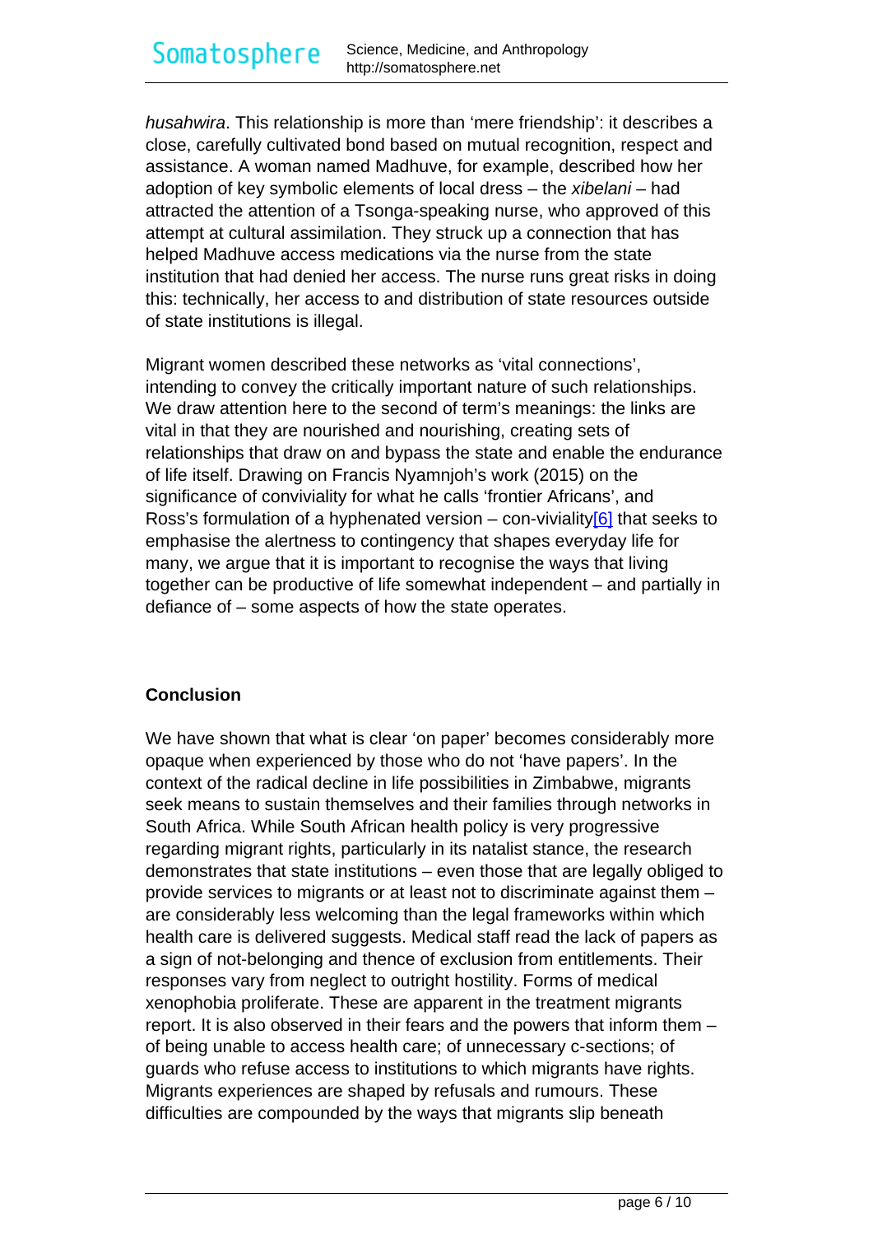<span id="page-6-0"></span>husahwira. This relationship is more than 'mere friendship': it describes a close, carefully cultivated bond based on mutual recognition, respect and assistance. A woman named Madhuve, for example, described how her adoption of key symbolic elements of local dress – the xibelani – had attracted the attention of a Tsonga-speaking nurse, who approved of this attempt at cultural assimilation. They struck up a connection that has helped Madhuve access medications via the nurse from the state institution that had denied her access. The nurse runs great risks in doing this: technically, her access to and distribution of state resources outside of state institutions is illegal.

Migrant women described these networks as 'vital connections', intending to convey the critically important nature of such relationships. We draw attention here to the second of term's meanings: the links are vital in that they are nourished and nourishing, creating sets of relationships that draw on and bypass the state and enable the endurance of life itself. Drawing on Francis Nyamnjoh's work (2015) on the significance of conviviality for what he calls 'frontier Africans', and Ross's formulation of a hyphenated version – con-viviality $[6]$  that seeks to emphasise the alertness to contingency that shapes everyday life for many, we argue that it is important to recognise the ways that living together can be productive of life somewhat independent – and partially in defiance of – some aspects of how the state operates.

#### **Conclusion**

We have shown that what is clear 'on paper' becomes considerably more opaque when experienced by those who do not 'have papers'. In the context of the radical decline in life possibilities in Zimbabwe, migrants seek means to sustain themselves and their families through networks in South Africa. While South African health policy is very progressive regarding migrant rights, particularly in its natalist stance, the research demonstrates that state institutions – even those that are legally obliged to provide services to migrants or at least not to discriminate against them – are considerably less welcoming than the legal frameworks within which health care is delivered suggests. Medical staff read the lack of papers as a sign of not-belonging and thence of exclusion from entitlements. Their responses vary from neglect to outright hostility. Forms of medical xenophobia proliferate. These are apparent in the treatment migrants report. It is also observed in their fears and the powers that inform them – of being unable to access health care; of unnecessary c-sections; of guards who refuse access to institutions to which migrants have rights. Migrants experiences are shaped by refusals and rumours. These difficulties are compounded by the ways that migrants slip beneath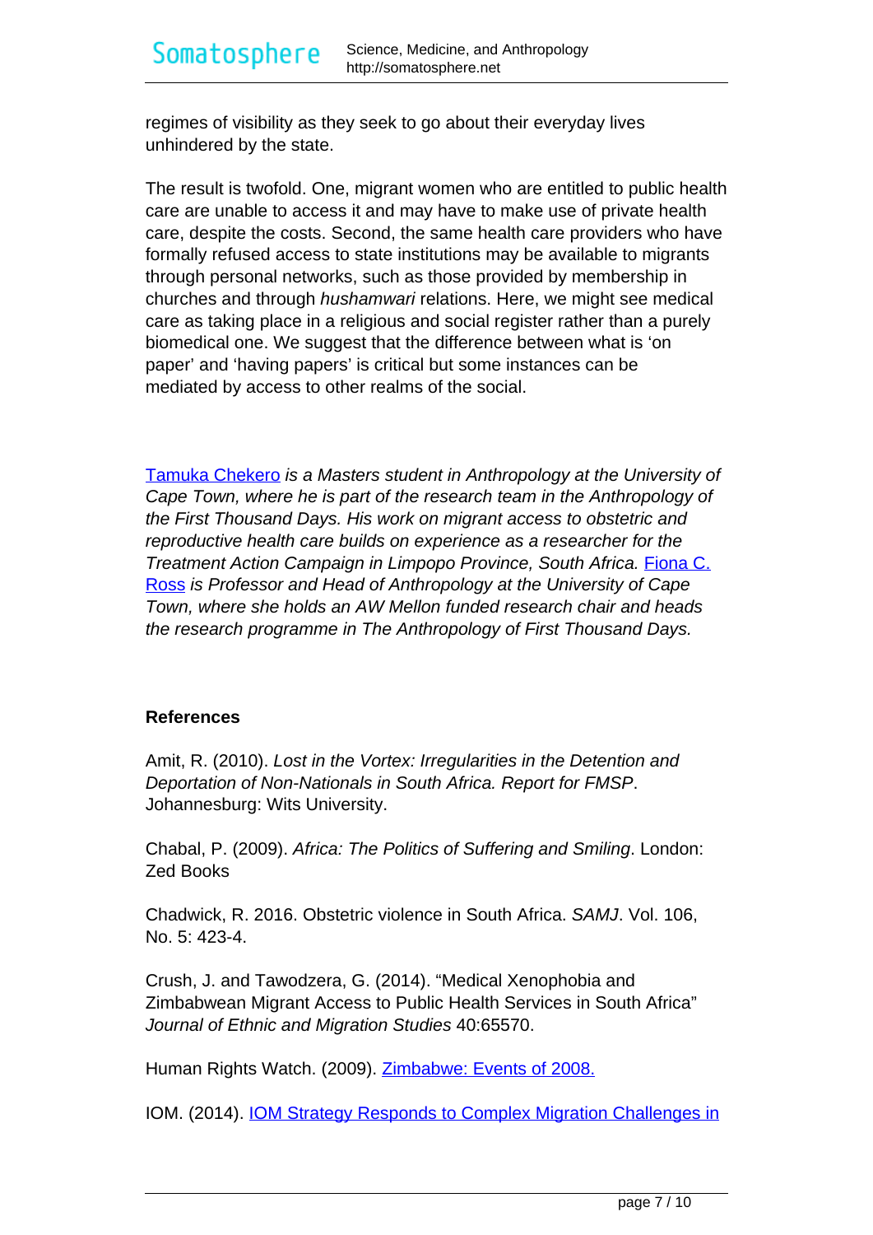regimes of visibility as they seek to go about their everyday lives unhindered by the state.

The result is twofold. One, migrant women who are entitled to public health care are unable to access it and may have to make use of private health care, despite the costs. Second, the same health care providers who have formally refused access to state institutions may be available to migrants through personal networks, such as those provided by membership in churches and through hushamwari relations. Here, we might see medical care as taking place in a religious and social register rather than a purely biomedical one. We suggest that the difference between what is 'on paper' and 'having papers' is critical but some instances can be mediated by access to other realms of the social.

[Tamuka Chekero](https://www.researchgate.net/profile/Tamuka_Chekero) is a Masters student in Anthropology at the University of Cape Town, where he is part of the research team in the Anthropology of the First Thousand Days. His work on migrant access to obstetric and reproductive health care builds on experience as a researcher for the Treatment Action Campaign in Limpopo Province, South Africa. [Fiona C.](http://www.anthropology.uct.ac.za/san/people/academic/ross) [Ross](http://www.anthropology.uct.ac.za/san/people/academic/ross) is Professor and Head of Anthropology at the University of Cape Town, where she holds an AW Mellon funded research chair and heads the research programme in The Anthropology of First Thousand Days.

#### **References**

Amit, R. (2010). Lost in the Vortex: Irregularities in the Detention and Deportation of Non-Nationals in South Africa. Report for FMSP. Johannesburg: Wits University.

Chabal, P. (2009). Africa: The Politics of Suffering and Smiling. London: Zed Books

Chadwick, R. 2016. Obstetric violence in South Africa. SAMJ. Vol. 106, No. 5: 423-4.

Crush, J. and Tawodzera, G. (2014). "Medical Xenophobia and Zimbabwean Migrant Access to Public Health Services in South Africa" Journal of Ethnic and Migration Studies 40:65570.

Human Rights Watch. (2009). **[Zimbabwe: Events of 2008.](https://www.hrw.org/world-report/2009/country-chapters/zimbabwe)** 

IOM. (2014). **[IOM Strategy Responds to Complex Migration Challenges in](https://southafrica.iom.int/news/iom-strategy-responds-complex-migration-challenges-southern-Africa)**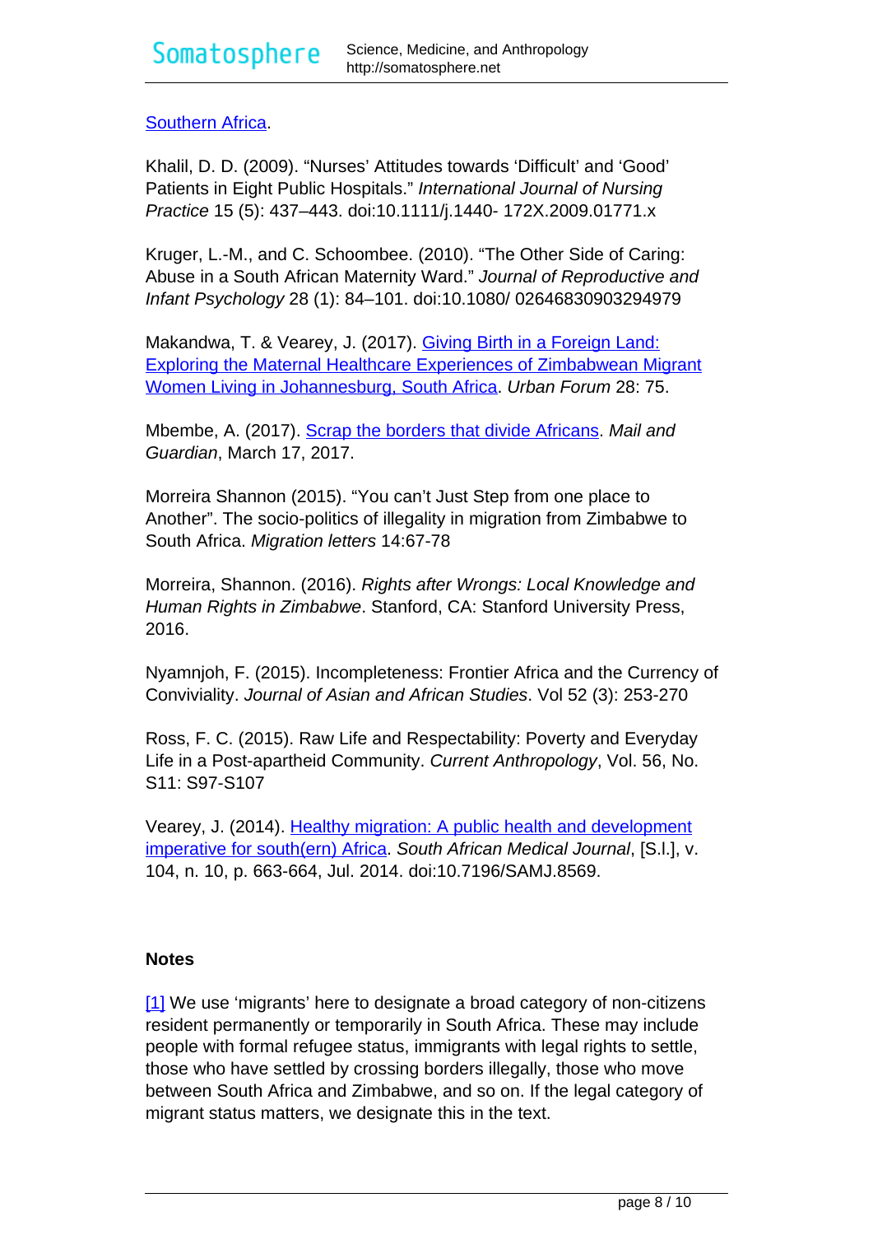## <span id="page-8-0"></span>[Southern Africa.](https://southafrica.iom.int/news/iom-strategy-responds-complex-migration-challenges-southern-Africa)

Khalil, D. D. (2009). "Nurses' Attitudes towards 'Difficult' and 'Good' Patients in Eight Public Hospitals." International Journal of Nursing Practice 15 (5): 437–443. doi:10.1111/j.1440- 172X.2009.01771.x

Kruger, L.-M., and C. Schoombee. (2010). "The Other Side of Caring: Abuse in a South African Maternity Ward." Journal of Reproductive and Infant Psychology 28 (1): 84–101. doi:10.1080/ 02646830903294979

Makandwa, T. & Vearey, J. (2017). [Giving Birth in a Foreign Land:](https://doi.org/10.1007/s12132-017-9304-5) [Exploring the Maternal Healthcare Experiences of Zimbabwean Migrant](https://doi.org/10.1007/s12132-017-9304-5) [Women Living in Johannesburg, South Africa](https://doi.org/10.1007/s12132-017-9304-5). Urban Forum 28: 75.

Mbembe, A. (2017). [Scrap the borders that divide Africans.](https://mg.co.za/article/2017-03-17-00-scrap-the-borders-that-divide-africans) Mail and Guardian, March 17, 2017.

Morreira Shannon (2015). "You can't Just Step from one place to Another". The socio-politics of illegality in migration from Zimbabwe to South Africa. Migration letters 14:67-78

Morreira, Shannon. (2016). Rights after Wrongs: Local Knowledge and Human Rights in Zimbabwe. Stanford, CA: Stanford University Press, 2016.

Nyamnjoh, F. (2015). Incompleteness: Frontier Africa and the Currency of Conviviality. Journal of Asian and African Studies. Vol 52 (3): 253-270

Ross, F. C. (2015). Raw Life and Respectability: Poverty and Everyday Life in a Post-apartheid Community. Current Anthropology, Vol. 56, No. S11: S97-S107

Vearey, J. (2014). [Healthy migration: A public health and development](http://www.samj.org.za/index.php/samj/article/view/8569/6230) [imperative for south\(ern\) Africa.](http://www.samj.org.za/index.php/samj/article/view/8569/6230) South African Medical Journal, [S.l.], v. 104, n. 10, p. 663-664, Jul. 2014. doi:10.7196/SAMJ.8569.

#### **Notes**

[\[1\]](#page-8-0) We use 'migrants' here to designate a broad category of non-citizens resident permanently or temporarily in South Africa. These may include people with formal refugee status, immigrants with legal rights to settle, those who have settled by crossing borders illegally, those who move between South Africa and Zimbabwe, and so on. If the legal category of migrant status matters, we designate this in the text.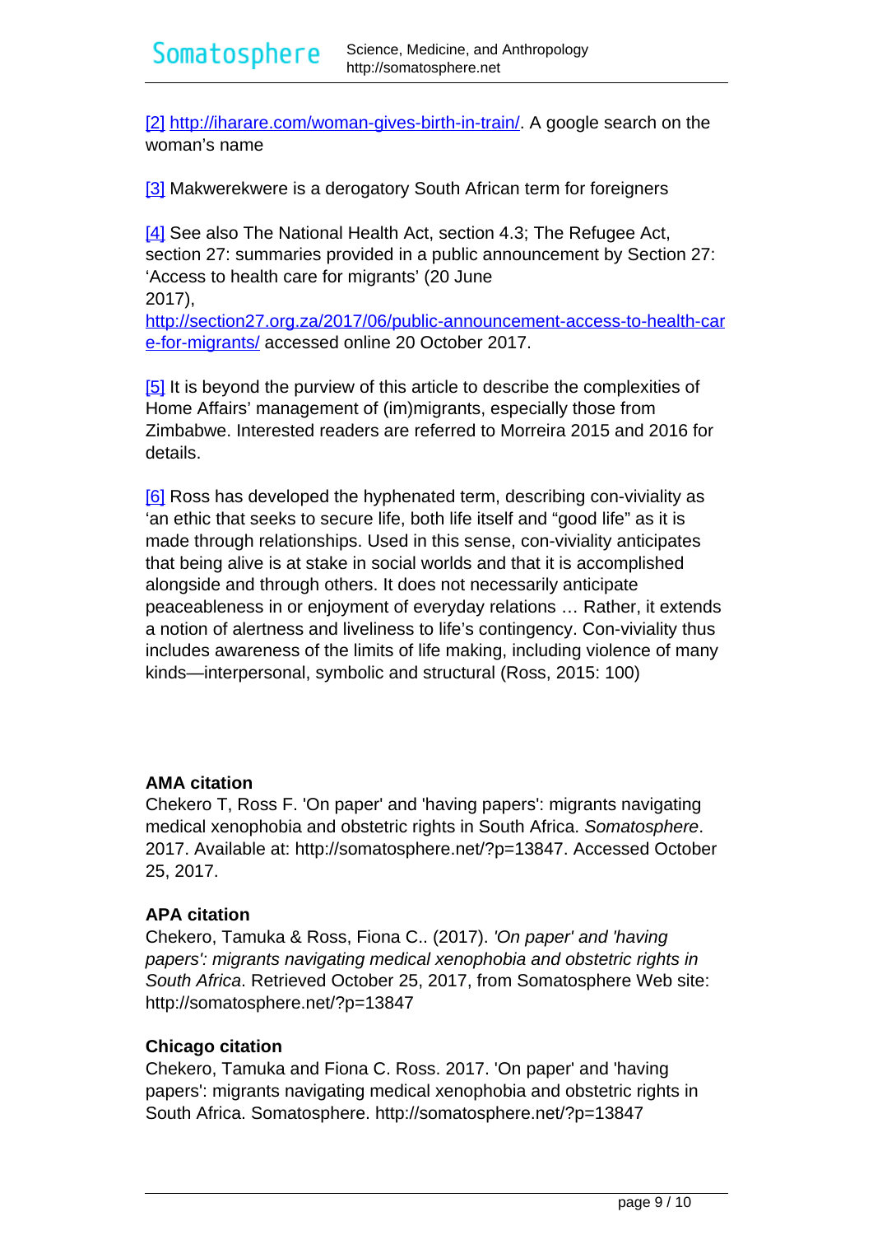<span id="page-9-0"></span>[\[2\]](#page-9-0) [http://iharare.com/woman-gives-birth-in-train/.](http://iharare.com/woman-gives-birth-in-train/) A google search on the woman's name

[\[3\]](#page-9-0) Makwerekwere is a derogatory South African term for foreigners

[\[4\]](#page-9-0) See also The National Health Act, section 4.3; The Refugee Act, section 27: summaries provided in a public announcement by Section 27: 'Access to health care for migrants' (20 June 2017), [http://section27.org.za/2017/06/public-announcement-access-to-health-car](http://section27.org.za/2017/06/public-announcement-access-to-health-care-for-migrants/) [e-for-migrants/](http://section27.org.za/2017/06/public-announcement-access-to-health-care-for-migrants/) accessed online 20 October 2017.

[\[5\]](#page-9-0) It is beyond the purview of this article to describe the complexities of Home Affairs' management of (im)migrants, especially those from Zimbabwe. Interested readers are referred to Morreira 2015 and 2016 for details.

[\[6\]](#page-9-0) Ross has developed the hyphenated term, describing con-viviality as 'an ethic that seeks to secure life, both life itself and "good life" as it is made through relationships. Used in this sense, con-viviality anticipates that being alive is at stake in social worlds and that it is accomplished alongside and through others. It does not necessarily anticipate peaceableness in or enjoyment of everyday relations … Rather, it extends a notion of alertness and liveliness to life's contingency. Con-viviality thus includes awareness of the limits of life making, including violence of many kinds—interpersonal, symbolic and structural (Ross, 2015: 100)

#### **AMA citation**

Chekero T, Ross F. 'On paper' and 'having papers': migrants navigating medical xenophobia and obstetric rights in South Africa. Somatosphere. 2017. Available at: http://somatosphere.net/?p=13847. Accessed October 25, 2017.

#### **APA citation**

Chekero, Tamuka & Ross, Fiona C.. (2017). 'On paper' and 'having papers': migrants navigating medical xenophobia and obstetric rights in South Africa. Retrieved October 25, 2017, from Somatosphere Web site: http://somatosphere.net/?p=13847

#### **Chicago citation**

Chekero, Tamuka and Fiona C. Ross. 2017. 'On paper' and 'having papers': migrants navigating medical xenophobia and obstetric rights in South Africa. Somatosphere. http://somatosphere.net/?p=13847